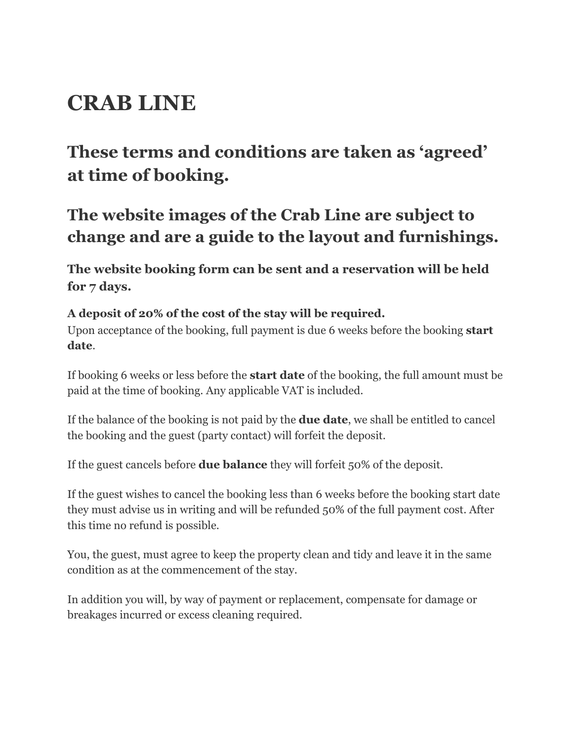## **CRAB LINE**

## **These terms and conditions are taken as 'agreed' at time of booking.**

## **The website images of the Crab Line are subject to change and are a guide to the layout and furnishings.**

**The website booking form can be sent and a reservation will be held for 7 days.**

## **A deposit of 20% of the cost of the stay will be required.**

Upon acceptance of the booking, full payment is due 6 weeks before the booking **start date**.

If booking 6 weeks or less before the **start date** of the booking, the full amount must be paid at the time of booking. Any applicable VAT is included.

If the balance of the booking is not paid by the **due date**, we shall be entitled to cancel the booking and the guest (party contact) will forfeit the deposit.

If the guest cancels before **due balance** they will forfeit 50% of the deposit.

If the guest wishes to cancel the booking less than 6 weeks before the booking start date they must advise us in writing and will be refunded 50% of the full payment cost. After this time no refund is possible.

You, the guest, must agree to keep the property clean and tidy and leave it in the same condition as at the commencement of the stay.

In addition you will, by way of payment or replacement, compensate for damage or breakages incurred or excess cleaning required.